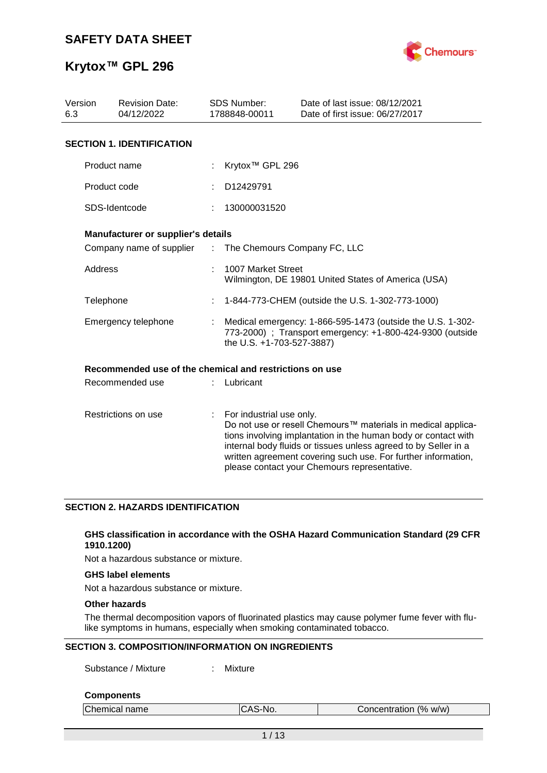

## **Krytox™ GPL 296**

| Version<br>6.3 | <b>Revision Date:</b><br>04/12/2022                     |                           | SDS Number:<br>1788848-00011                                                                                                                         | Date of last issue: 08/12/2021<br>Date of first issue: 06/27/2017                                                                                                                                                                                                                                                  |  |  |
|----------------|---------------------------------------------------------|---------------------------|------------------------------------------------------------------------------------------------------------------------------------------------------|--------------------------------------------------------------------------------------------------------------------------------------------------------------------------------------------------------------------------------------------------------------------------------------------------------------------|--|--|
|                | <b>SECTION 1. IDENTIFICATION</b>                        |                           |                                                                                                                                                      |                                                                                                                                                                                                                                                                                                                    |  |  |
|                | Product name                                            |                           | Krytox <sup>™</sup> GPL 296                                                                                                                          |                                                                                                                                                                                                                                                                                                                    |  |  |
|                | Product code                                            |                           | D12429791                                                                                                                                            |                                                                                                                                                                                                                                                                                                                    |  |  |
|                | SDS-Identcode                                           |                           | 130000031520                                                                                                                                         |                                                                                                                                                                                                                                                                                                                    |  |  |
|                | <b>Manufacturer or supplier's details</b>               |                           |                                                                                                                                                      |                                                                                                                                                                                                                                                                                                                    |  |  |
|                | Company name of supplier : The Chemours Company FC, LLC |                           |                                                                                                                                                      |                                                                                                                                                                                                                                                                                                                    |  |  |
|                | <b>Address</b>                                          |                           | 1007 Market Street<br>Wilmington, DE 19801 United States of America (USA)                                                                            |                                                                                                                                                                                                                                                                                                                    |  |  |
| Telephone      |                                                         |                           |                                                                                                                                                      | 1-844-773-CHEM (outside the U.S. 1-302-773-1000)                                                                                                                                                                                                                                                                   |  |  |
|                | Emergency telephone                                     |                           | Medical emergency: 1-866-595-1473 (outside the U.S. 1-302-<br>773-2000) ; Transport emergency: +1-800-424-9300 (outside<br>the U.S. +1-703-527-3887) |                                                                                                                                                                                                                                                                                                                    |  |  |
|                | Recommended use of the chemical and restrictions on use |                           |                                                                                                                                                      |                                                                                                                                                                                                                                                                                                                    |  |  |
|                | Recommended use                                         |                           | Lubricant                                                                                                                                            |                                                                                                                                                                                                                                                                                                                    |  |  |
|                | Restrictions on use                                     | $\mathbb{R}^{\mathbb{Z}}$ | For industrial use only.                                                                                                                             | Do not use or resell Chemours™ materials in medical applica-<br>tions involving implantation in the human body or contact with<br>internal body fluids or tissues unless agreed to by Seller in a<br>written agreement covering such use. For further information,<br>please contact your Chemours representative. |  |  |

### **SECTION 2. HAZARDS IDENTIFICATION**

#### **GHS classification in accordance with the OSHA Hazard Communication Standard (29 CFR 1910.1200)**

Not a hazardous substance or mixture.

### **GHS label elements**

Not a hazardous substance or mixture.

### **Other hazards**

The thermal decomposition vapors of fluorinated plastics may cause polymer fume fever with flulike symptoms in humans, especially when smoking contaminated tobacco.

### **SECTION 3. COMPOSITION/INFORMATION ON INGREDIENTS**

Substance / Mixture : Mixture

#### **Components**

| Chemical name | ∵ิAS-No. | Concentration (% w/w) |
|---------------|----------|-----------------------|
|               |          |                       |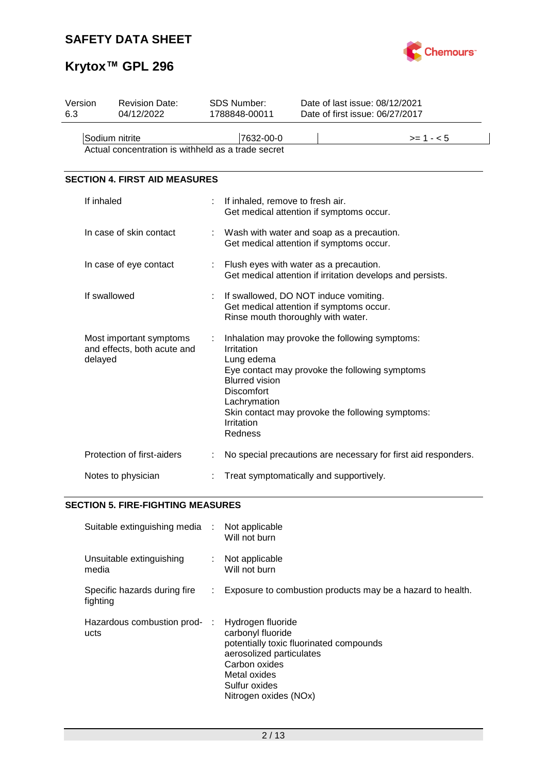

# **Krytox™ GPL 296**

| Version<br>6.3          | <b>Revision Date:</b><br>04/12/2022                               |                                                                                                                                                                                                                                                                         | <b>SDS Number:</b><br>1788848-00011                                                                                     |                                                                                       | Date of last issue: 08/12/2021<br>Date of first issue: 06/27/2017 |  |  |
|-------------------------|-------------------------------------------------------------------|-------------------------------------------------------------------------------------------------------------------------------------------------------------------------------------------------------------------------------------------------------------------------|-------------------------------------------------------------------------------------------------------------------------|---------------------------------------------------------------------------------------|-------------------------------------------------------------------|--|--|
|                         |                                                                   |                                                                                                                                                                                                                                                                         |                                                                                                                         |                                                                                       |                                                                   |  |  |
|                         | Sodium nitrite                                                    |                                                                                                                                                                                                                                                                         | 7632-00-0                                                                                                               |                                                                                       | $>= 1 - 5$                                                        |  |  |
|                         | Actual concentration is withheld as a trade secret                |                                                                                                                                                                                                                                                                         |                                                                                                                         |                                                                                       |                                                                   |  |  |
|                         |                                                                   |                                                                                                                                                                                                                                                                         |                                                                                                                         |                                                                                       |                                                                   |  |  |
|                         | <b>SECTION 4. FIRST AID MEASURES</b>                              |                                                                                                                                                                                                                                                                         |                                                                                                                         |                                                                                       |                                                                   |  |  |
|                         | If inhaled                                                        | t                                                                                                                                                                                                                                                                       | If inhaled, remove to fresh air.<br>Get medical attention if symptoms occur.                                            |                                                                                       |                                                                   |  |  |
| In case of skin contact |                                                                   |                                                                                                                                                                                                                                                                         |                                                                                                                         | Wash with water and soap as a precaution.<br>Get medical attention if symptoms occur. |                                                                   |  |  |
|                         | In case of eye contact                                            |                                                                                                                                                                                                                                                                         | Flush eyes with water as a precaution.                                                                                  | Get medical attention if irritation develops and persists.                            |                                                                   |  |  |
|                         | If swallowed                                                      |                                                                                                                                                                                                                                                                         | If swallowed, DO NOT induce vomiting.<br>Get medical attention if symptoms occur.<br>Rinse mouth thoroughly with water. |                                                                                       |                                                                   |  |  |
|                         | Most important symptoms<br>and effects, both acute and<br>delayed | Inhalation may provoke the following symptoms:<br>Irritation<br>Lung edema<br>Eye contact may provoke the following symptoms<br><b>Blurred vision</b><br><b>Discomfort</b><br>Lachrymation<br>Skin contact may provoke the following symptoms:<br>Irritation<br>Redness |                                                                                                                         |                                                                                       |                                                                   |  |  |
|                         | Protection of first-aiders                                        |                                                                                                                                                                                                                                                                         |                                                                                                                         |                                                                                       | No special precautions are necessary for first aid responders.    |  |  |
|                         | Notes to physician                                                |                                                                                                                                                                                                                                                                         | Treat symptomatically and supportively.                                                                                 |                                                                                       |                                                                   |  |  |

### **SECTION 5. FIRE-FIGHTING MEASURES**

| Suitable extinguishing media : Not applicable |    | Will not burn                                                                                                                                                                            |
|-----------------------------------------------|----|------------------------------------------------------------------------------------------------------------------------------------------------------------------------------------------|
| Unsuitable extinguishing<br>media             |    | : Not applicable<br>Will not burn                                                                                                                                                        |
| Specific hazards during fire<br>fighting      | ÷. | Exposure to combustion products may be a hazard to health.                                                                                                                               |
| Hazardous combustion prod- :<br>ucts          |    | Hydrogen fluoride<br>carbonyl fluoride<br>potentially toxic fluorinated compounds<br>aerosolized particulates<br>Carbon oxides<br>Metal oxides<br>Sulfur oxides<br>Nitrogen oxides (NOx) |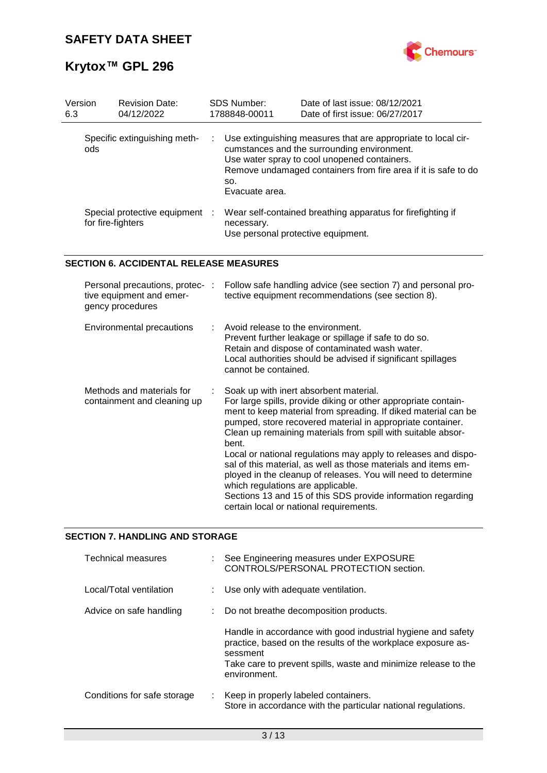

# **Krytox™ GPL 296**

| Version<br>6.3 | <b>Revision Date:</b><br>04/12/2022               |     | <b>SDS Number:</b><br>1788848-00011 | Date of last issue: 08/12/2021<br>Date of first issue: 06/27/2017                                                                                                                                                              |
|----------------|---------------------------------------------------|-----|-------------------------------------|--------------------------------------------------------------------------------------------------------------------------------------------------------------------------------------------------------------------------------|
| ods            | Specific extinguishing meth-                      | t i | SO.<br>Evacuate area.               | Use extinguishing measures that are appropriate to local cir-<br>cumstances and the surrounding environment.<br>Use water spray to cool unopened containers.<br>Remove undamaged containers from fire area if it is safe to do |
|                | Special protective equipment<br>for fire-fighters | ÷   | necessary.                          | Wear self-contained breathing apparatus for firefighting if<br>Use personal protective equipment.                                                                                                                              |

### **SECTION 6. ACCIDENTAL RELEASE MEASURES**

| Personal precautions, protec-:<br>tive equipment and emer-<br>gency procedures | Follow safe handling advice (see section 7) and personal pro-<br>tective equipment recommendations (see section 8).                                                                                                                                                                                                                                                                                                                                                                                                                                                                                                                                                    |
|--------------------------------------------------------------------------------|------------------------------------------------------------------------------------------------------------------------------------------------------------------------------------------------------------------------------------------------------------------------------------------------------------------------------------------------------------------------------------------------------------------------------------------------------------------------------------------------------------------------------------------------------------------------------------------------------------------------------------------------------------------------|
| Environmental precautions                                                      | $\therefore$ Avoid release to the environment.<br>Prevent further leakage or spillage if safe to do so.<br>Retain and dispose of contaminated wash water.<br>Local authorities should be advised if significant spillages<br>cannot be contained.                                                                                                                                                                                                                                                                                                                                                                                                                      |
| Methods and materials for<br>containment and cleaning up                       | Soak up with inert absorbent material.<br>For large spills, provide diking or other appropriate contain-<br>ment to keep material from spreading. If diked material can be<br>pumped, store recovered material in appropriate container.<br>Clean up remaining materials from spill with suitable absor-<br>bent.<br>Local or national regulations may apply to releases and dispo-<br>sal of this material, as well as those materials and items em-<br>ployed in the cleanup of releases. You will need to determine<br>which regulations are applicable.<br>Sections 13 and 15 of this SDS provide information regarding<br>certain local or national requirements. |

### **SECTION 7. HANDLING AND STORAGE**

| Technical measures          |    | : See Engineering measures under EXPOSURE<br>CONTROLS/PERSONAL PROTECTION section.                                                                                                                                         |
|-----------------------------|----|----------------------------------------------------------------------------------------------------------------------------------------------------------------------------------------------------------------------------|
| Local/Total ventilation     |    | : Use only with adequate ventilation.                                                                                                                                                                                      |
| Advice on safe handling     |    | : Do not breathe decomposition products.                                                                                                                                                                                   |
|                             |    | Handle in accordance with good industrial hygiene and safety<br>practice, based on the results of the workplace exposure as-<br>sessment<br>Take care to prevent spills, waste and minimize release to the<br>environment. |
| Conditions for safe storage | ÷. | Keep in properly labeled containers.<br>Store in accordance with the particular national regulations.                                                                                                                      |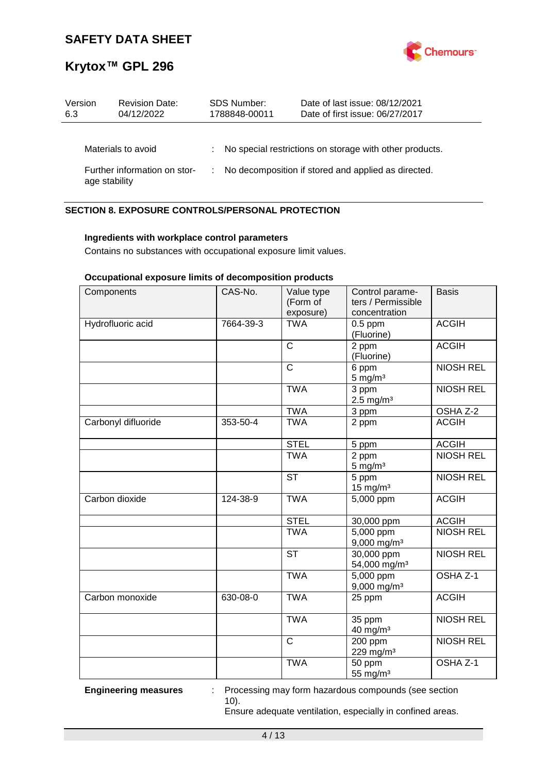

| Version                      | <b>Revision Date:</b> |                                                     | <b>SDS Number:</b> | Date of last issue: 08/12/2021                            |
|------------------------------|-----------------------|-----------------------------------------------------|--------------------|-----------------------------------------------------------|
| 6.3                          | 04/12/2022            |                                                     | 1788848-00011      | Date of first issue: 06/27/2017                           |
|                              | Materials to avoid    |                                                     |                    | : No special restrictions on storage with other products. |
| Further information on stor- |                       | No decomposition if stored and applied as directed. |                    |                                                           |
| age stability                |                       | ÷.                                                  |                    |                                                           |

### **SECTION 8. EXPOSURE CONTROLS/PERSONAL PROTECTION**

### **Ingredients with workplace control parameters**

Contains no substances with occupational exposure limit values.

### **Occupational exposure limits of decomposition products**

| Components          | CAS-No.   | Value type<br>(Form of<br>exposure) | Control parame-<br>ters / Permissible<br>concentration | <b>Basis</b>     |
|---------------------|-----------|-------------------------------------|--------------------------------------------------------|------------------|
| Hydrofluoric acid   | 7664-39-3 | <b>TWA</b>                          | $0.5$ ppm<br>(Fluorine)                                | <b>ACGIH</b>     |
|                     |           | $\mathsf{C}$                        | 2 ppm<br>(Fluorine)                                    | <b>ACGIH</b>     |
|                     |           | $\overline{\text{c}}$               | 6 ppm<br>$5$ mg/m <sup>3</sup>                         | <b>NIOSH REL</b> |
|                     |           | <b>TWA</b>                          | 3 ppm<br>$2.5$ mg/m <sup>3</sup>                       | <b>NIOSH REL</b> |
|                     |           | <b>TWA</b>                          | 3 ppm                                                  | OSHA Z-2         |
| Carbonyl difluoride | 353-50-4  | <b>TWA</b>                          | 2 ppm                                                  | <b>ACGIH</b>     |
|                     |           | <b>STEL</b>                         | 5 ppm                                                  | <b>ACGIH</b>     |
|                     |           | <b>TWA</b>                          | 2 ppm<br>$5 \text{ mg/m}^3$                            | <b>NIOSH REL</b> |
|                     |           | <b>ST</b>                           | 5 ppm<br>$15$ mg/m <sup>3</sup>                        | <b>NIOSH REL</b> |
| Carbon dioxide      | 124-38-9  | <b>TWA</b>                          | $\overline{5,000}$ ppm                                 | <b>ACGIH</b>     |
|                     |           | <b>STEL</b>                         | 30,000 ppm                                             | <b>ACGIH</b>     |
|                     |           | <b>TWA</b>                          | $5,000$ ppm<br>$9,000$ mg/m <sup>3</sup>               | <b>NIOSH REL</b> |
|                     |           | <b>ST</b>                           | 30,000 ppm<br>54,000 mg/m <sup>3</sup>                 | <b>NIOSH REL</b> |
|                     |           | <b>TWA</b>                          | 5,000 ppm<br>$9,000$ mg/m <sup>3</sup>                 | OSHA Z-1         |
| Carbon monoxide     | 630-08-0  | <b>TWA</b>                          | 25 ppm                                                 | <b>ACGIH</b>     |
|                     |           | <b>TWA</b>                          | 35 ppm<br>$40$ mg/m <sup>3</sup>                       | <b>NIOSH REL</b> |
|                     |           | $\mathsf{C}$                        | 200 ppm<br>229 mg/m <sup>3</sup>                       | <b>NIOSH REL</b> |
|                     |           | <b>TWA</b>                          | 50 ppm<br>55 mg/m <sup>3</sup>                         | OSHA Z-1         |

**Engineering measures** : Processing may form hazardous compounds (see section 10).

Ensure adequate ventilation, especially in confined areas.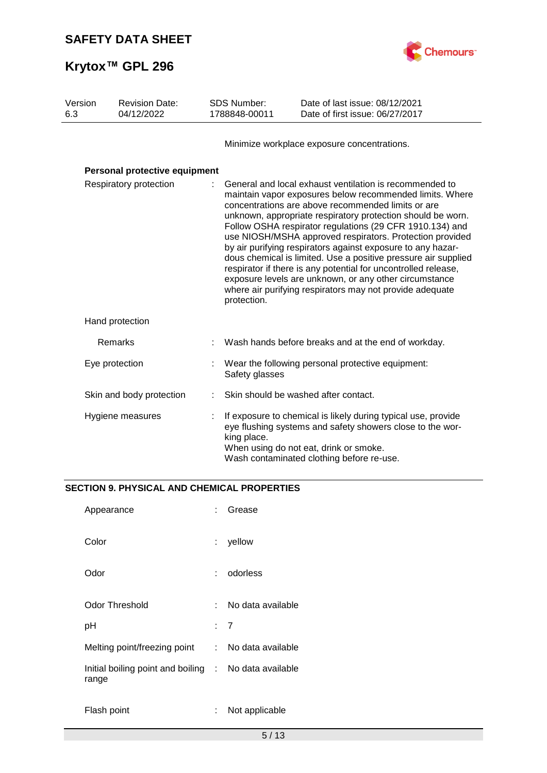

| Version<br><b>Revision Date:</b><br>6.3<br>04/12/2022 |                               | SDS Number:<br>1788848-00011 | Date of last issue: 08/12/2021<br>Date of first issue: 06/27/2017                                                                                                                                                                                                                                                                                                                                                                                                                                                                                                                                                                                                                                        |                                                                                                                                                                                                                   |  |
|-------------------------------------------------------|-------------------------------|------------------------------|----------------------------------------------------------------------------------------------------------------------------------------------------------------------------------------------------------------------------------------------------------------------------------------------------------------------------------------------------------------------------------------------------------------------------------------------------------------------------------------------------------------------------------------------------------------------------------------------------------------------------------------------------------------------------------------------------------|-------------------------------------------------------------------------------------------------------------------------------------------------------------------------------------------------------------------|--|
|                                                       |                               |                              |                                                                                                                                                                                                                                                                                                                                                                                                                                                                                                                                                                                                                                                                                                          | Minimize workplace exposure concentrations.                                                                                                                                                                       |  |
|                                                       | Personal protective equipment |                              |                                                                                                                                                                                                                                                                                                                                                                                                                                                                                                                                                                                                                                                                                                          |                                                                                                                                                                                                                   |  |
| Respiratory protection                                |                               |                              | General and local exhaust ventilation is recommended to<br>maintain vapor exposures below recommended limits. Where<br>concentrations are above recommended limits or are<br>unknown, appropriate respiratory protection should be worn.<br>Follow OSHA respirator regulations (29 CFR 1910.134) and<br>use NIOSH/MSHA approved respirators. Protection provided<br>by air purifying respirators against exposure to any hazar-<br>dous chemical is limited. Use a positive pressure air supplied<br>respirator if there is any potential for uncontrolled release,<br>exposure levels are unknown, or any other circumstance<br>where air purifying respirators may not provide adequate<br>protection. |                                                                                                                                                                                                                   |  |
|                                                       | Hand protection               |                              |                                                                                                                                                                                                                                                                                                                                                                                                                                                                                                                                                                                                                                                                                                          |                                                                                                                                                                                                                   |  |
|                                                       | Remarks                       |                              |                                                                                                                                                                                                                                                                                                                                                                                                                                                                                                                                                                                                                                                                                                          | Wash hands before breaks and at the end of workday.                                                                                                                                                               |  |
|                                                       | Eye protection                |                              | Safety glasses                                                                                                                                                                                                                                                                                                                                                                                                                                                                                                                                                                                                                                                                                           | Wear the following personal protective equipment:                                                                                                                                                                 |  |
|                                                       | Skin and body protection      |                              |                                                                                                                                                                                                                                                                                                                                                                                                                                                                                                                                                                                                                                                                                                          | Skin should be washed after contact.                                                                                                                                                                              |  |
|                                                       | Hygiene measures              |                              | king place.                                                                                                                                                                                                                                                                                                                                                                                                                                                                                                                                                                                                                                                                                              | If exposure to chemical is likely during typical use, provide<br>eye flushing systems and safety showers close to the wor-<br>When using do not eat, drink or smoke.<br>Wash contaminated clothing before re-use. |  |

## **SECTION 9. PHYSICAL AND CHEMICAL PROPERTIES**

| Appearance                                                     |       | Grease              |
|----------------------------------------------------------------|-------|---------------------|
| Color                                                          |       | yellow              |
| Odor                                                           | t - 1 | odorless            |
| Odor Threshold                                                 | × 1   | No data available   |
| рH                                                             |       | : 7                 |
| Melting point/freezing point                                   |       | : No data available |
| Initial boiling point and boiling : No data available<br>range |       |                     |
| Flash point                                                    |       | Not applicable      |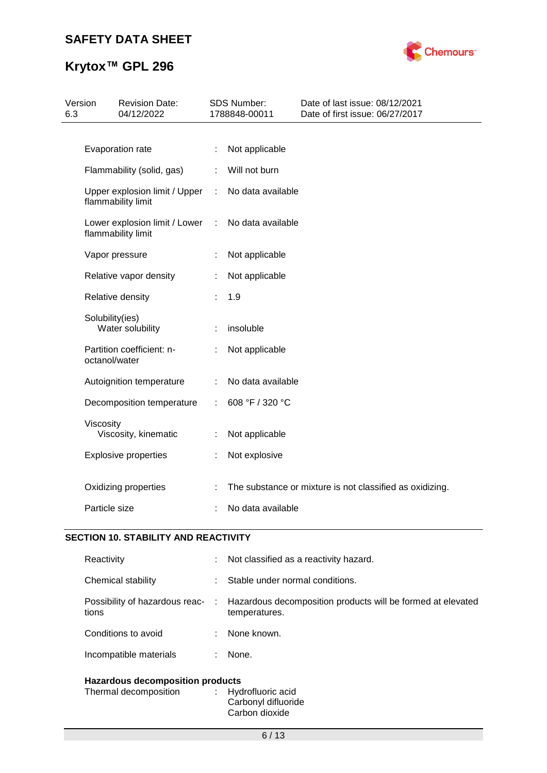

# **Krytox™ GPL 296**

| Version<br>6.3 |                                            | <b>Revision Date:</b><br>04/12/2022 |   | <b>SDS Number:</b><br>1788848-00011 | Date of last issue: 08/12/2021<br>Date of first issue: 06/27/2017 |
|----------------|--------------------------------------------|-------------------------------------|---|-------------------------------------|-------------------------------------------------------------------|
|                |                                            |                                     |   |                                     |                                                                   |
|                | Evaporation rate                           |                                     |   | Not applicable                      |                                                                   |
|                | Flammability (solid, gas)                  |                                     | ÷ | Will not burn                       |                                                                   |
|                | flammability limit                         | Upper explosion limit / Upper       | ÷ | No data available                   |                                                                   |
|                | flammability limit                         | Lower explosion limit / Lower       | ÷ | No data available                   |                                                                   |
|                | Vapor pressure                             |                                     |   | Not applicable                      |                                                                   |
|                | Relative vapor density                     |                                     |   | Not applicable                      |                                                                   |
|                | Relative density                           |                                     |   | 1.9                                 |                                                                   |
|                | Solubility(ies)<br>Water solubility        |                                     |   | insoluble                           |                                                                   |
|                | Partition coefficient: n-<br>octanol/water |                                     |   | Not applicable                      |                                                                   |
|                | Autoignition temperature                   |                                     | ÷ | No data available                   |                                                                   |
|                |                                            | Decomposition temperature           |   | 608 °F / 320 °C                     |                                                                   |
|                | Viscosity<br>Viscosity, kinematic          |                                     | ÷ | Not applicable                      |                                                                   |
|                | <b>Explosive properties</b>                |                                     |   | Not explosive                       |                                                                   |
|                | Oxidizing properties                       |                                     |   |                                     | The substance or mixture is not classified as oxidizing.          |
|                | Particle size                              |                                     |   | No data available                   |                                                                   |
|                |                                            |                                     |   |                                     |                                                                   |

### **SECTION 10. STABILITY AND REACTIVITY**

| Reactivity                                                       | t. | Not classified as a reactivity hazard.                                       |
|------------------------------------------------------------------|----|------------------------------------------------------------------------------|
| Chemical stability                                               | ÷  | Stable under normal conditions.                                              |
| Possibility of hazardous reac-<br>tions                          | ÷  | Hazardous decomposition products will be formed at elevated<br>temperatures. |
| Conditions to avoid                                              | ÷  | None known.                                                                  |
| Incompatible materials                                           |    | None.                                                                        |
| <b>Hazardous decomposition products</b><br>Thermal decomposition | ÷  | Hydrofluoric acid                                                            |

#### Carbonyl difluoride Carbon dioxide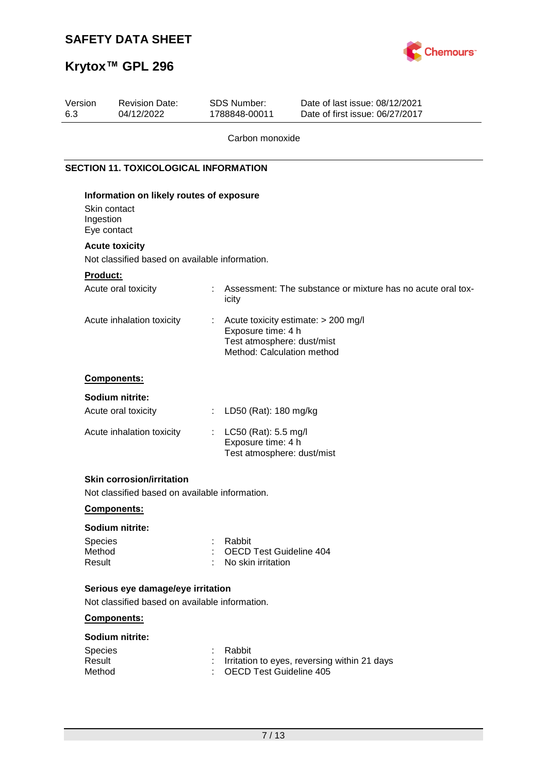

# **Krytox™ GPL 296**

| Assessment: The substance or mixture has no acute oral tox-<br>Acute toxicity estimate: > 200 mg/l |
|----------------------------------------------------------------------------------------------------|
|                                                                                                    |
|                                                                                                    |
|                                                                                                    |
|                                                                                                    |
|                                                                                                    |
|                                                                                                    |
|                                                                                                    |
|                                                                                                    |
|                                                                                                    |
|                                                                                                    |
|                                                                                                    |
|                                                                                                    |
| Test atmosphere: dust/mist<br>Method: Calculation method                                           |
|                                                                                                    |
|                                                                                                    |
|                                                                                                    |
|                                                                                                    |
|                                                                                                    |
| Test atmosphere: dust/mist                                                                         |
|                                                                                                    |
|                                                                                                    |
|                                                                                                    |
|                                                                                                    |
|                                                                                                    |
| <b>OECD Test Guideline 404</b>                                                                     |
|                                                                                                    |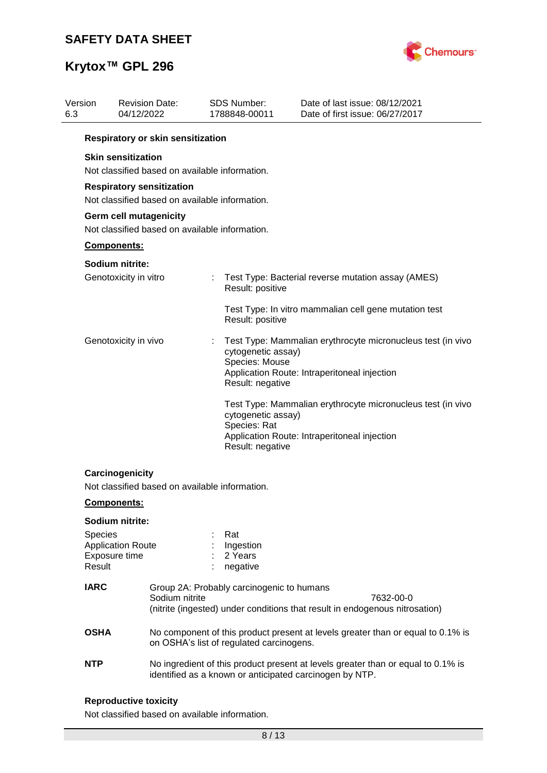

|             | <b>Revision Date:</b><br>04/12/2022 |                                                                                                                                                                                                                                  | <b>SDS Number:</b>                                                           | Date of last issue: 08/12/2021<br>Date of first issue: 06/27/2017                                                                                                                                                                                                                                                                                                                                                                                                                                                                                            |
|-------------|-------------------------------------|----------------------------------------------------------------------------------------------------------------------------------------------------------------------------------------------------------------------------------|------------------------------------------------------------------------------|--------------------------------------------------------------------------------------------------------------------------------------------------------------------------------------------------------------------------------------------------------------------------------------------------------------------------------------------------------------------------------------------------------------------------------------------------------------------------------------------------------------------------------------------------------------|
|             |                                     |                                                                                                                                                                                                                                  |                                                                              |                                                                                                                                                                                                                                                                                                                                                                                                                                                                                                                                                              |
|             |                                     |                                                                                                                                                                                                                                  |                                                                              |                                                                                                                                                                                                                                                                                                                                                                                                                                                                                                                                                              |
|             |                                     |                                                                                                                                                                                                                                  |                                                                              |                                                                                                                                                                                                                                                                                                                                                                                                                                                                                                                                                              |
|             |                                     |                                                                                                                                                                                                                                  |                                                                              |                                                                                                                                                                                                                                                                                                                                                                                                                                                                                                                                                              |
|             |                                     |                                                                                                                                                                                                                                  |                                                                              |                                                                                                                                                                                                                                                                                                                                                                                                                                                                                                                                                              |
|             |                                     |                                                                                                                                                                                                                                  |                                                                              |                                                                                                                                                                                                                                                                                                                                                                                                                                                                                                                                                              |
|             |                                     |                                                                                                                                                                                                                                  |                                                                              | Test Type: Bacterial reverse mutation assay (AMES)                                                                                                                                                                                                                                                                                                                                                                                                                                                                                                           |
|             |                                     |                                                                                                                                                                                                                                  |                                                                              | Test Type: In vitro mammalian cell gene mutation test                                                                                                                                                                                                                                                                                                                                                                                                                                                                                                        |
|             |                                     |                                                                                                                                                                                                                                  |                                                                              | Test Type: Mammalian erythrocyte micronucleus test (in vivo<br>Application Route: Intraperitoneal injection                                                                                                                                                                                                                                                                                                                                                                                                                                                  |
|             |                                     |                                                                                                                                                                                                                                  | Species: Rat                                                                 | Test Type: Mammalian erythrocyte micronucleus test (in vivo<br>Application Route: Intraperitoneal injection                                                                                                                                                                                                                                                                                                                                                                                                                                                  |
|             |                                     |                                                                                                                                                                                                                                  |                                                                              |                                                                                                                                                                                                                                                                                                                                                                                                                                                                                                                                                              |
|             |                                     |                                                                                                                                                                                                                                  |                                                                              |                                                                                                                                                                                                                                                                                                                                                                                                                                                                                                                                                              |
|             |                                     |                                                                                                                                                                                                                                  |                                                                              |                                                                                                                                                                                                                                                                                                                                                                                                                                                                                                                                                              |
| Result      |                                     |                                                                                                                                                                                                                                  | Rat<br>Ingestion<br>2 Years<br>negative                                      |                                                                                                                                                                                                                                                                                                                                                                                                                                                                                                                                                              |
| <b>IARC</b> |                                     |                                                                                                                                                                                                                                  |                                                                              | 7632-00-0<br>(nitrite (ingested) under conditions that result in endogenous nitrosation)                                                                                                                                                                                                                                                                                                                                                                                                                                                                     |
| <b>OSHA</b> |                                     |                                                                                                                                                                                                                                  |                                                                              | No component of this product present at levels greater than or equal to 0.1% is                                                                                                                                                                                                                                                                                                                                                                                                                                                                              |
| <b>NTP</b>  |                                     |                                                                                                                                                                                                                                  |                                                                              | No ingredient of this product present at levels greater than or equal to 0.1% is                                                                                                                                                                                                                                                                                                                                                                                                                                                                             |
|             | Version                             | <b>Skin sensitization</b><br>Components:<br>Sodium nitrite:<br>Genotoxicity in vitro<br>Genotoxicity in vivo<br>Carcinogenicity<br><b>Components:</b><br>Sodium nitrite:<br>Species<br><b>Application Route</b><br>Exposure time | <b>Respiratory sensitization</b><br>Germ cell mutagenicity<br>Sodium nitrite | 1788848-00011<br>Respiratory or skin sensitization<br>Not classified based on available information.<br>Not classified based on available information.<br>Not classified based on available information.<br>Result: positive<br>Result: positive<br>cytogenetic assay)<br>Species: Mouse<br>Result: negative<br>cytogenetic assay)<br>Result: negative<br>Not classified based on available information.<br>Group 2A: Probably carcinogenic to humans<br>on OSHA's list of regulated carcinogens.<br>identified as a known or anticipated carcinogen by NTP. |

### **Reproductive toxicity**

Not classified based on available information.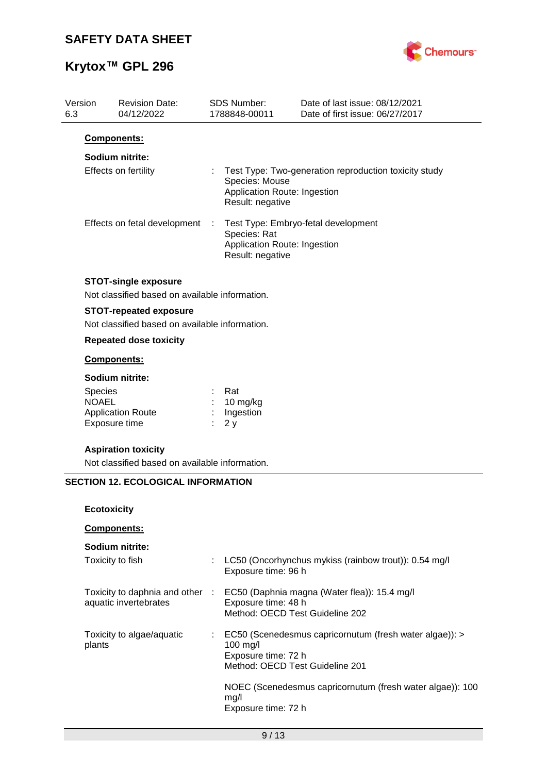

# **Krytox™ GPL 296**

| Version<br>6.3 |                    | <b>Revision Date:</b><br>04/12/2022                                           |   | <b>SDS Number:</b><br>1788848-00011                                | Date of last issue: 08/12/2021<br>Date of first issue: 06/27/2017 |
|----------------|--------------------|-------------------------------------------------------------------------------|---|--------------------------------------------------------------------|-------------------------------------------------------------------|
|                |                    | Components:                                                                   |   |                                                                    |                                                                   |
|                |                    | Sodium nitrite:                                                               |   |                                                                    |                                                                   |
|                |                    | Effects on fertility                                                          |   | Species: Mouse<br>Application Route: Ingestion<br>Result: negative | Test Type: Two-generation reproduction toxicity study             |
|                |                    | Effects on fetal development                                                  | ÷ | Species: Rat<br>Application Route: Ingestion<br>Result: negative   | Test Type: Embryo-fetal development                               |
|                |                    | <b>STOT-single exposure</b><br>Not classified based on available information. |   |                                                                    |                                                                   |
|                |                    | <b>STOT-repeated exposure</b>                                                 |   |                                                                    |                                                                   |
|                |                    | Not classified based on available information.                                |   |                                                                    |                                                                   |
|                |                    | <b>Repeated dose toxicity</b>                                                 |   |                                                                    |                                                                   |
|                |                    | <b>Components:</b>                                                            |   |                                                                    |                                                                   |
|                |                    | Sodium nitrite:                                                               |   |                                                                    |                                                                   |
|                | Species            |                                                                               |   | Rat                                                                |                                                                   |
|                | <b>NOAEL</b>       | <b>Application Route</b>                                                      |   | 10 mg/kg<br>Ingestion                                              |                                                                   |
|                |                    | Exposure time                                                                 |   | 2y                                                                 |                                                                   |
|                |                    | <b>Aspiration toxicity</b>                                                    |   |                                                                    |                                                                   |
|                |                    | Not classified based on available information.                                |   |                                                                    |                                                                   |
|                |                    | <b>SECTION 12. ECOLOGICAL INFORMATION</b>                                     |   |                                                                    |                                                                   |
|                |                    |                                                                               |   |                                                                    |                                                                   |
|                | <b>Ecotoxicity</b> |                                                                               |   |                                                                    |                                                                   |
|                |                    | Components:                                                                   |   |                                                                    |                                                                   |
|                |                    | Sodium nitrite:                                                               |   |                                                                    |                                                                   |
|                |                    | Toxicity to fish                                                              |   | Exposure time: 96 h                                                | LC50 (Oncorhynchus mykiss (rainbow trout)): 0.54 mg/l             |
|                |                    | Toxicity to daphnia and other :                                               |   |                                                                    | EC50 (Daphnia magna (Water flea)): 15.4 mg/l                      |
|                |                    | aquatic invertebrates                                                         |   | Exposure time: 48 h<br>Method: OECD Test Guideline 202             |                                                                   |
|                |                    | Toxicity to algae/aquatic                                                     |   |                                                                    | EC50 (Scenedesmus capricornutum (fresh water algae)): >           |
|                | plants             |                                                                               |   | 100 mg/l                                                           |                                                                   |
|                |                    |                                                                               |   | Exposure time: 72 h<br>Method: OECD Test Guideline 201             |                                                                   |
|                |                    |                                                                               |   |                                                                    |                                                                   |
|                |                    |                                                                               |   | mg/l                                                               | NOEC (Scenedesmus capricornutum (fresh water algae)): 100         |
|                |                    |                                                                               |   | Exposure time: 72 h                                                |                                                                   |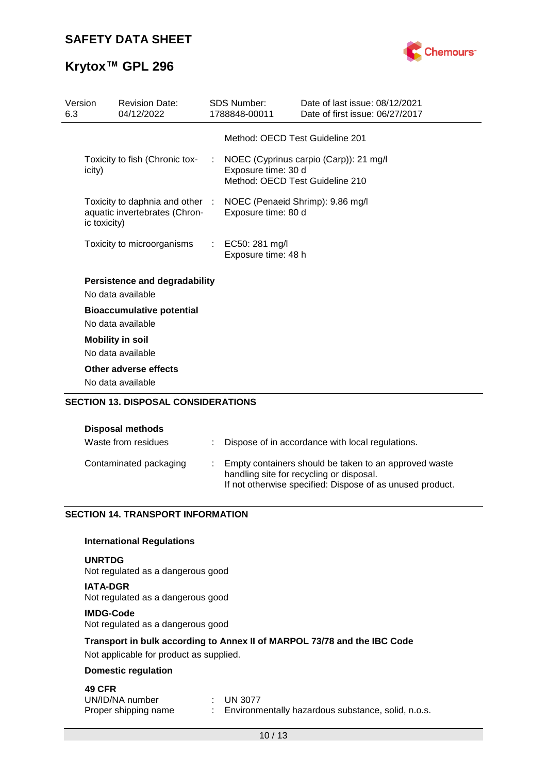

## **Krytox™ GPL 296**

| Version<br>6.3 |              | <b>Revision Date:</b><br>04/12/2022                                                               | <b>SDS Number:</b><br>1788848-00011     | Date of last issue: 08/12/2021<br>Date of first issue: 06/27/2017           |
|----------------|--------------|---------------------------------------------------------------------------------------------------|-----------------------------------------|-----------------------------------------------------------------------------|
|                |              |                                                                                                   |                                         | Method: OECD Test Guideline 201                                             |
|                | icity)       | Toxicity to fish (Chronic tox-                                                                    | Exposure time: 30 d                     | : NOEC (Cyprinus carpio (Carp)): 21 mg/l<br>Method: OECD Test Guideline 210 |
|                | ic toxicity) | Toxicity to daphnia and other : NOEC (Penaeid Shrimp): 9.86 mg/l<br>aquatic invertebrates (Chron- | Exposure time: 80 d                     |                                                                             |
|                |              | Toxicity to microorganisms                                                                        | : EC50: 281 mg/l<br>Exposure time: 48 h |                                                                             |
|                |              | <b>Persistence and degradability</b><br>No data available                                         |                                         |                                                                             |
|                |              | <b>Bioaccumulative potential</b><br>No data available                                             |                                         |                                                                             |
|                |              | <b>Mobility in soil</b><br>No data available                                                      |                                         |                                                                             |
|                |              | Other adverse effects<br>No data available                                                        |                                         |                                                                             |
|                |              | <b>SECTION 13. DISPOSAL CONSIDERATIONS</b>                                                        |                                         |                                                                             |

#### **Disposal methods**

| Waste from residues    | : Dispose of in accordance with local regulations.                                                                                                             |
|------------------------|----------------------------------------------------------------------------------------------------------------------------------------------------------------|
| Contaminated packaging | Empty containers should be taken to an approved waste<br>handling site for recycling or disposal.<br>If not otherwise specified: Dispose of as unused product. |

### **SECTION 14. TRANSPORT INFORMATION**

### **International Regulations**

### **UNRTDG**

Not regulated as a dangerous good

**IATA-DGR** Not regulated as a dangerous good

### **IMDG-Code**

Not regulated as a dangerous good

### **Transport in bulk according to Annex II of MARPOL 73/78 and the IBC Code**

Not applicable for product as supplied.

### **Domestic regulation**

### **49 CFR**

| UN/ID/NA number      | $\therefore$ UN 3077                                 |
|----------------------|------------------------------------------------------|
| Proper shipping name | : Environmentally hazardous substance, solid, n.o.s. |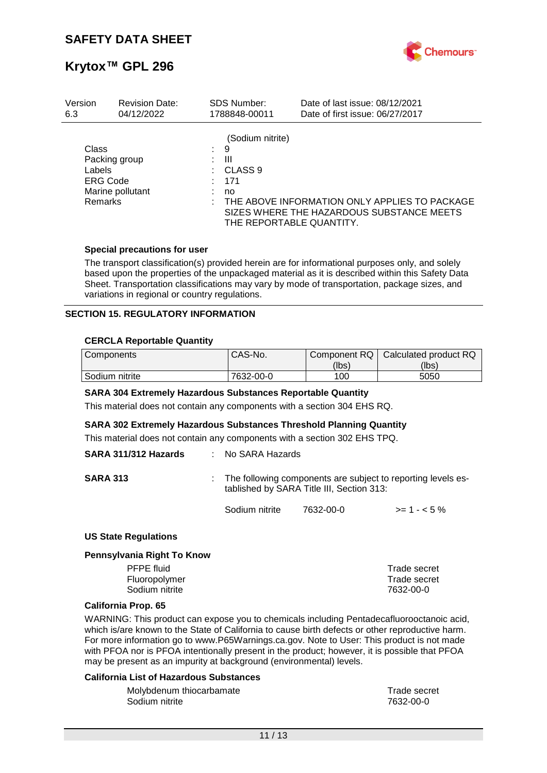

| Version                                              | <b>Revision Date:</b>             | <b>SDS Number:</b>                                 | Date of last issue: 08/12/2021                                                                                         |
|------------------------------------------------------|-----------------------------------|----------------------------------------------------|------------------------------------------------------------------------------------------------------------------------|
| 6.3                                                  | 04/12/2022                        | 1788848-00011                                      | Date of first issue: 06/27/2017                                                                                        |
| Class<br>Labels<br><b>ERG Code</b><br><b>Remarks</b> | Packing group<br>Marine pollutant | (Sodium nitrite)<br>9<br>Ш<br>CLASS 9<br>171<br>no | THE ABOVE INFORMATION ONLY APPLIES TO PACKAGE<br>SIZES WHERE THE HAZARDOUS SUBSTANCE MEETS<br>THE REPORTABLE QUANTITY. |

### **Special precautions for user**

The transport classification(s) provided herein are for informational purposes only, and solely based upon the properties of the unpackaged material as it is described within this Safety Data Sheet. Transportation classifications may vary by mode of transportation, package sizes, and variations in regional or country regulations.

### **SECTION 15. REGULATORY INFORMATION**

### **CERCLA Reportable Quantity**

| Components     | CAS-No.   | Component RQ | Calculated product RQ |
|----------------|-----------|--------------|-----------------------|
|                |           | (lbs)        | (lbs)                 |
| Sodium nitrite | 7632-00-0 | 100          | 5050                  |

#### **SARA 304 Extremely Hazardous Substances Reportable Quantity**

This material does not contain any components with a section 304 EHS RQ.

#### **SARA 302 Extremely Hazardous Substances Threshold Planning Quantity**

This material does not contain any components with a section 302 EHS TPQ.

| SARA 311/312 Hazards | $\therefore$ No SARA Hazards |                                           |                                                                |
|----------------------|------------------------------|-------------------------------------------|----------------------------------------------------------------|
| <b>SARA 313</b>      |                              | tablished by SARA Title III, Section 313: | : The following components are subject to reporting levels es- |
|                      | Sodium nitrite               | 7632-00-0                                 | $>= 1 - 5\%$                                                   |

#### **US State Regulations**

#### **Pennsylvania Right To Know**

| Trade secret |
|--------------|
| Trade secret |
| 7632-00-0    |
|              |

#### **California Prop. 65**

WARNING: This product can expose you to chemicals including Pentadecafluorooctanoic acid, which is/are known to the State of California to cause birth defects or other reproductive harm. For more information go to www.P65Warnings.ca.gov. Note to User: This product is not made with PFOA nor is PFOA intentionally present in the product; however, it is possible that PFOA may be present as an impurity at background (environmental) levels.

#### **California List of Hazardous Substances**

| Molybdenum thiocarbamate | Trade secret |
|--------------------------|--------------|
| Sodium nitrite           | 7632-00-0    |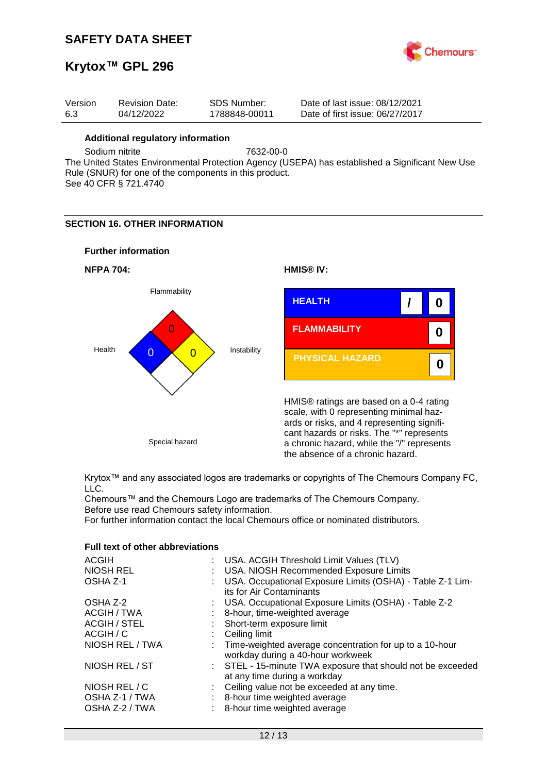

## **Krytox™ GPL 296**

| Version | <b>Revision Date:</b> | SDS Number:   | Date of last issue: 08/12/2021  |
|---------|-----------------------|---------------|---------------------------------|
| -6.3    | 04/12/2022            | 1788848-00011 | Date of first issue: 06/27/2017 |

### **Additional regulatory information**

Sodium nitrite 7632-00-0

The United States Environmental Protection Agency (USEPA) has established a Significant New Use Rule (SNUR) for one of the components in this product. See 40 CFR § 721.4740

### **SECTION 16. OTHER INFORMATION**

### **Further information**





Krytox™ and any associated logos are trademarks or copyrights of The Chemours Company FC, LLC.

Chemours™ and the Chemours Logo are trademarks of The Chemours Company. Before use read Chemours safety information.

For further information contact the local Chemours office or nominated distributors.

### **Full text of other abbreviations**

| <b>ACGIH</b>        | : USA. ACGIH Threshold Limit Values (TLV)                                                      |
|---------------------|------------------------------------------------------------------------------------------------|
| NIOSH REL           | USA. NIOSH Recommended Exposure Limits                                                         |
| OSHA Z-1            | USA. Occupational Exposure Limits (OSHA) - Table Z-1 Lim-<br>its for Air Contaminants          |
|                     |                                                                                                |
| OSHA Z-2            | : USA. Occupational Exposure Limits (OSHA) - Table Z-2                                         |
| ACGIH / TWA         | 8-hour, time-weighted average                                                                  |
| <b>ACGIH / STEL</b> | : Short-term exposure limit                                                                    |
| ACGIH / C           | Ceiling limit                                                                                  |
| NIOSH REL / TWA     | : Time-weighted average concentration for up to a 10-hour<br>workday during a 40-hour workweek |
| NIOSH REL / ST      | : STEL - 15-minute TWA exposure that should not be exceeded<br>at any time during a workday    |
| NIOSH REL / C       | : Ceiling value not be exceeded at any time.                                                   |
| OSHA Z-1 / TWA      | 8-hour time weighted average                                                                   |
| OSHA Z-2 / TWA      | 8-hour time weighted average                                                                   |